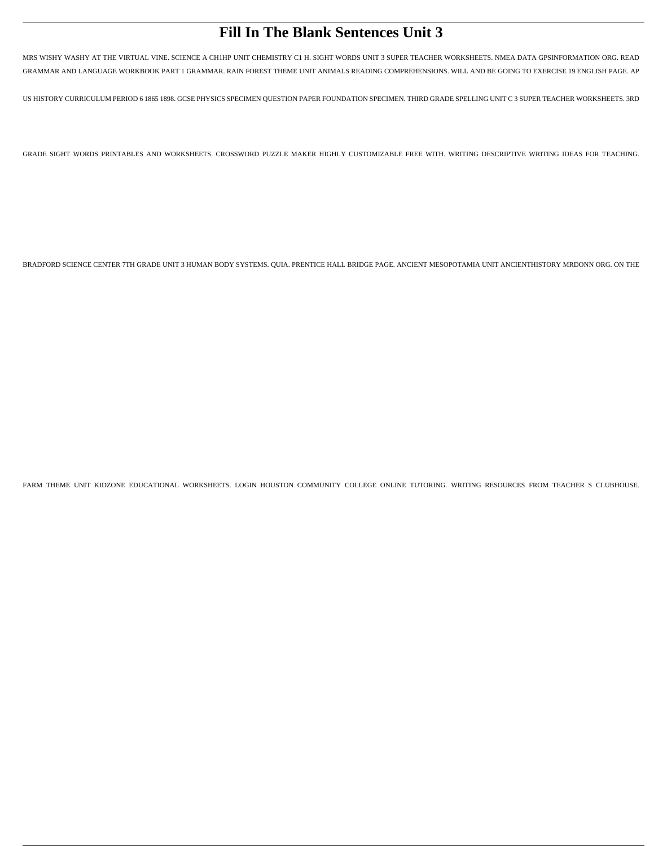# **Fill In The Blank Sentences Unit 3**

MRS WISHY WASHY AT THE VIRTUAL VINE. SCIENCE A CH1HP UNIT CHEMISTRY C1 H. SIGHT WORDS UNIT 3 SUPER TEACHER WORKSHEETS. NMEA DATA GPSINFORMATION ORG. READ GRAMMAR AND LANGUAGE WORKBOOK PART 1 GRAMMAR. RAIN FOREST THEME UNIT ANIMALS READING COMPREHENSIONS. WILL AND BE GOING TO EXERCISE 19 ENGLISH PAGE. AP

US HISTORY CURRICULUM PERIOD 6 1865 1898. GCSE PHYSICS SPECIMEN QUESTION PAPER FOUNDATION SPECIMEN. THIRD GRADE SPELLING UNIT C 3 SUPER TEACHER WORKSHEETS. 3RD

GRADE SIGHT WORDS PRINTABLES AND WORKSHEETS. CROSSWORD PUZZLE MAKER HIGHLY CUSTOMIZABLE FREE WITH. WRITING DESCRIPTIVE WRITING IDEAS FOR TEACHING.

BRADFORD SCIENCE CENTER 7TH GRADE UNIT 3 HUMAN BODY SYSTEMS. QUIA. PRENTICE HALL BRIDGE PAGE. ANCIENT MESOPOTAMIA UNIT ANCIENTHISTORY MRDONN ORG. ON THE

FARM THEME UNIT KIDZONE EDUCATIONAL WORKSHEETS. LOGIN HOUSTON COMMUNITY COLLEGE ONLINE TUTORING. WRITING RESOURCES FROM TEACHER S CLUBHOUSE.